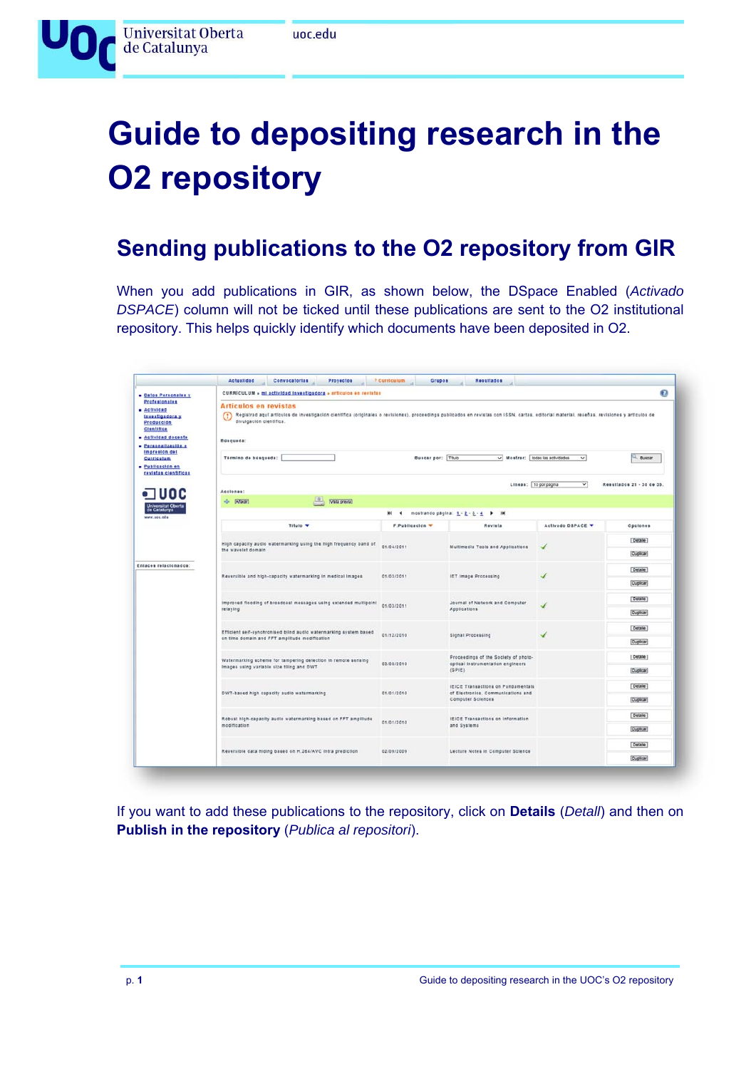

# **Guide to depositing research in the O2 repository**

### **Sending publications to the O2 repository from GIR**

When you add publications in GIR, as shown below, the DSpace Enabled (*Activado DSPACE*) column will not be ticked until these publications are sent to the O2 institutional repository. This helps quickly identify which documents have been deposited in O2.

| . Datos Personales y<br><b>Profesionales</b><br><b>a</b> Actividad<br>Investigadora y<br>Producción<br>Clentifica<br>· Actividad docente<br>· Personalización e<br>Impresión del<br><b>Curriculum</b><br>· Publicación en<br>revistas científicas | CURRICULUM » mi_actividad_investigadora » articulos en revistas                                                                                                                                                                                                                |                                                                                         |                                     |                          | ø               |  |  |  |  |
|---------------------------------------------------------------------------------------------------------------------------------------------------------------------------------------------------------------------------------------------------|--------------------------------------------------------------------------------------------------------------------------------------------------------------------------------------------------------------------------------------------------------------------------------|-----------------------------------------------------------------------------------------|-------------------------------------|--------------------------|-----------------|--|--|--|--|
|                                                                                                                                                                                                                                                   | <b>Articulos en revistas</b><br>Registrad aqui artículos de investigación científica (originales o revisiones), proceedings publicados en revistas con ISSN, cartas, editorial material, reseñas, revisiones y artículos de<br>$\circ$<br>divulgación científica.<br>Busqueda: |                                                                                         |                                     |                          |                 |  |  |  |  |
|                                                                                                                                                                                                                                                   | Buscar por: Titulo<br>V Mostrar: bodas las actividades<br>Término de búsqueda:<br><b>Buscar</b><br>$\vee$<br>▽<br>Resultados 21 - 30 de 35.<br>Lineas: 10 por página<br>Acciones:                                                                                              |                                                                                         |                                     |                          |                 |  |  |  |  |
|                                                                                                                                                                                                                                                   |                                                                                                                                                                                                                                                                                |                                                                                         |                                     |                          |                 |  |  |  |  |
| www.occ.edu                                                                                                                                                                                                                                       |                                                                                                                                                                                                                                                                                | $M - 4$                                                                                 | mostrando pagina: 1 - 2 - 2 - 4 ▶ M |                          |                 |  |  |  |  |
|                                                                                                                                                                                                                                                   | Titulo v                                                                                                                                                                                                                                                                       | <b>F.Publicación V</b>                                                                  | Revista                             | Activado DSPACE V        | Opclones        |  |  |  |  |
|                                                                                                                                                                                                                                                   | High capacity audio watermarking using the high frequency band of<br>the wavelet domain                                                                                                                                                                                        | 01/04/2011                                                                              | Multimedia Tools and Applications   | ✓                        | Detaile         |  |  |  |  |
|                                                                                                                                                                                                                                                   |                                                                                                                                                                                                                                                                                |                                                                                         |                                     |                          | Duplicar        |  |  |  |  |
| Enlaces relacionados:                                                                                                                                                                                                                             | Reversible and high-capacity watermarking in medical images                                                                                                                                                                                                                    | 01/03/2011                                                                              | IET Image Processing                |                          | Detaile         |  |  |  |  |
|                                                                                                                                                                                                                                                   |                                                                                                                                                                                                                                                                                |                                                                                         |                                     |                          | <b>Duplicar</b> |  |  |  |  |
|                                                                                                                                                                                                                                                   | Improved flooding of broadcast messages using extended multipoint                                                                                                                                                                                                              | 01/03/2011                                                                              | Journal of Network and Computer     | $\overline{\phantom{a}}$ | Detaile         |  |  |  |  |
|                                                                                                                                                                                                                                                   | relaying<br>Applications                                                                                                                                                                                                                                                       |                                                                                         |                                     |                          |                 |  |  |  |  |
|                                                                                                                                                                                                                                                   | Efficient self-synchronised blind audio watermarking system based<br>01/12/2010<br><b>Signal Processing</b><br>√                                                                                                                                                               |                                                                                         | Detaile                             |                          |                 |  |  |  |  |
|                                                                                                                                                                                                                                                   | on time domain and FFT amplitude modification                                                                                                                                                                                                                                  |                                                                                         |                                     |                          |                 |  |  |  |  |
|                                                                                                                                                                                                                                                   | Watermarking scheme for tampering detection in remote sensing                                                                                                                                                                                                                  | Proceedings of the Society of photo-<br>03/08/2010<br>optical instrumentation engineers |                                     |                          | Detaile         |  |  |  |  |
|                                                                                                                                                                                                                                                   | Images using variable size tiling and DWT                                                                                                                                                                                                                                      |                                                                                         | (SP(E)                              |                          | Duplicar        |  |  |  |  |
|                                                                                                                                                                                                                                                   | DWT-based high capacity audio watermarking                                                                                                                                                                                                                                     | IEICE Transactions on Fundamentals<br>01/01/2010<br>of Electronics, Communications and  |                                     |                          | Detaile         |  |  |  |  |
|                                                                                                                                                                                                                                                   |                                                                                                                                                                                                                                                                                |                                                                                         | Computer Sciences                   |                          | Duplicar        |  |  |  |  |
|                                                                                                                                                                                                                                                   | Robust high-capacity audio watermarking based on FFT amplitude                                                                                                                                                                                                                 | IEICE Transactions on Information<br>01/01/2010                                         |                                     |                          | Detaile         |  |  |  |  |
|                                                                                                                                                                                                                                                   | modification                                                                                                                                                                                                                                                                   |                                                                                         | and Systems                         |                          | Duplicar        |  |  |  |  |
|                                                                                                                                                                                                                                                   | Reversible data hiding based on H.264/AVC intra prediction                                                                                                                                                                                                                     | 02/09/2009                                                                              | Lecture Notes In Computer Science   |                          | Detaile         |  |  |  |  |
|                                                                                                                                                                                                                                                   |                                                                                                                                                                                                                                                                                |                                                                                         |                                     |                          | Duplicar        |  |  |  |  |

If you want to add these publications to the repository, click on **Details** (*Detall*) and then on **Publish in the repository** (*Publica al repositori*).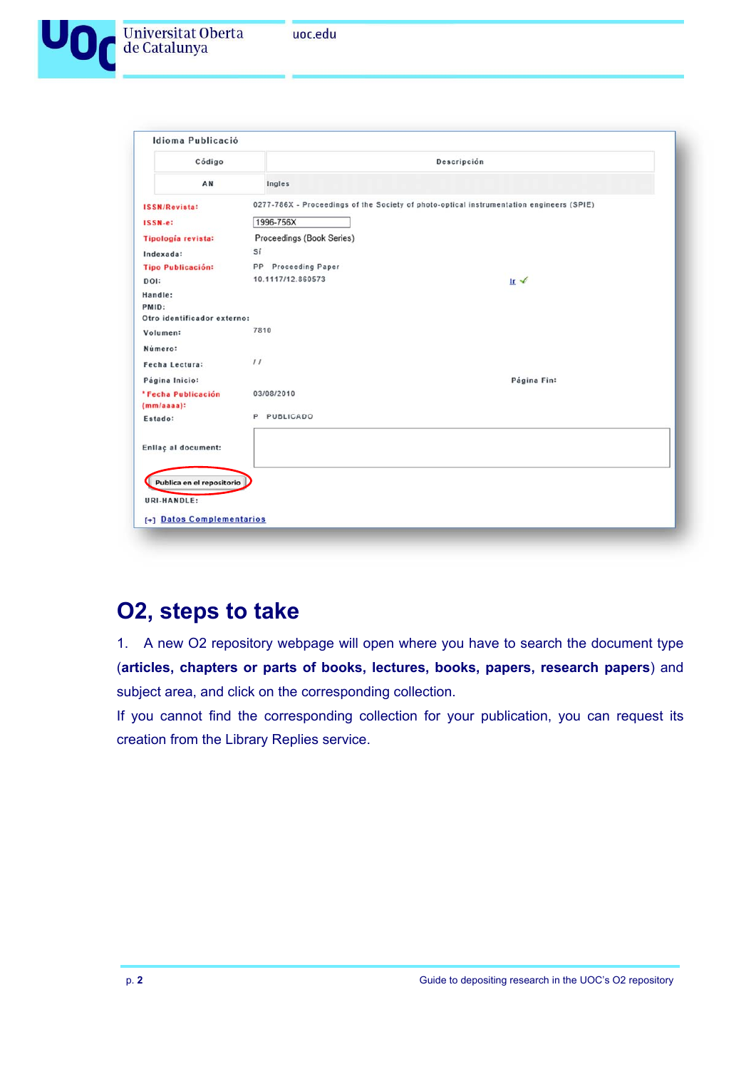

| Código                      |                           | Descripción                                                                              |  |  |  |  |
|-----------------------------|---------------------------|------------------------------------------------------------------------------------------|--|--|--|--|
| AN                          | Ingles                    |                                                                                          |  |  |  |  |
| <b>ISSN/Revista:</b>        |                           | 0277-786X - Proceedings of the Society of photo-optical instrumentation engineers (SPIE) |  |  |  |  |
| ISSN-e:                     | 1996-756X                 |                                                                                          |  |  |  |  |
| Tipología revista:          | Proceedings (Book Series) |                                                                                          |  |  |  |  |
| Indexada:                   | Sí                        |                                                                                          |  |  |  |  |
| <b>Tipo Publicación:</b>    | PP Proceeding Paper       |                                                                                          |  |  |  |  |
| DOI:                        | 10.1117/12.860573         | $Ir \neq$                                                                                |  |  |  |  |
| Handle:                     |                           |                                                                                          |  |  |  |  |
| PMID:                       |                           |                                                                                          |  |  |  |  |
| Otro identificador externo: | 7810                      |                                                                                          |  |  |  |  |
| Volumen:                    |                           |                                                                                          |  |  |  |  |
| Número:                     |                           |                                                                                          |  |  |  |  |
| Fecha Lectura:              | 11                        |                                                                                          |  |  |  |  |
| Página Inicio:              |                           | Página Fin:                                                                              |  |  |  |  |
| * Fecha Publicación         | 03/08/2010                |                                                                                          |  |  |  |  |
| $(mm/aaaa)$ :               |                           |                                                                                          |  |  |  |  |
| Estado:                     | P PUBLICADO               |                                                                                          |  |  |  |  |
|                             |                           |                                                                                          |  |  |  |  |
| Enllaç al document:         |                           |                                                                                          |  |  |  |  |
|                             |                           |                                                                                          |  |  |  |  |
| Publica en el repositorio   |                           |                                                                                          |  |  |  |  |
| URI-HANDLE:                 |                           |                                                                                          |  |  |  |  |
| [+] Datos Complementarios   |                           |                                                                                          |  |  |  |  |

### **O2, steps to take**

1. A new O2 repository webpage will open where you have to search the document type (**articles, chapters or parts of books, lectures, books, papers, research papers**) and subject area, and click on the corresponding collection.

If you cannot find the corresponding collection for your publication, you can request its creation from the Library Replies service.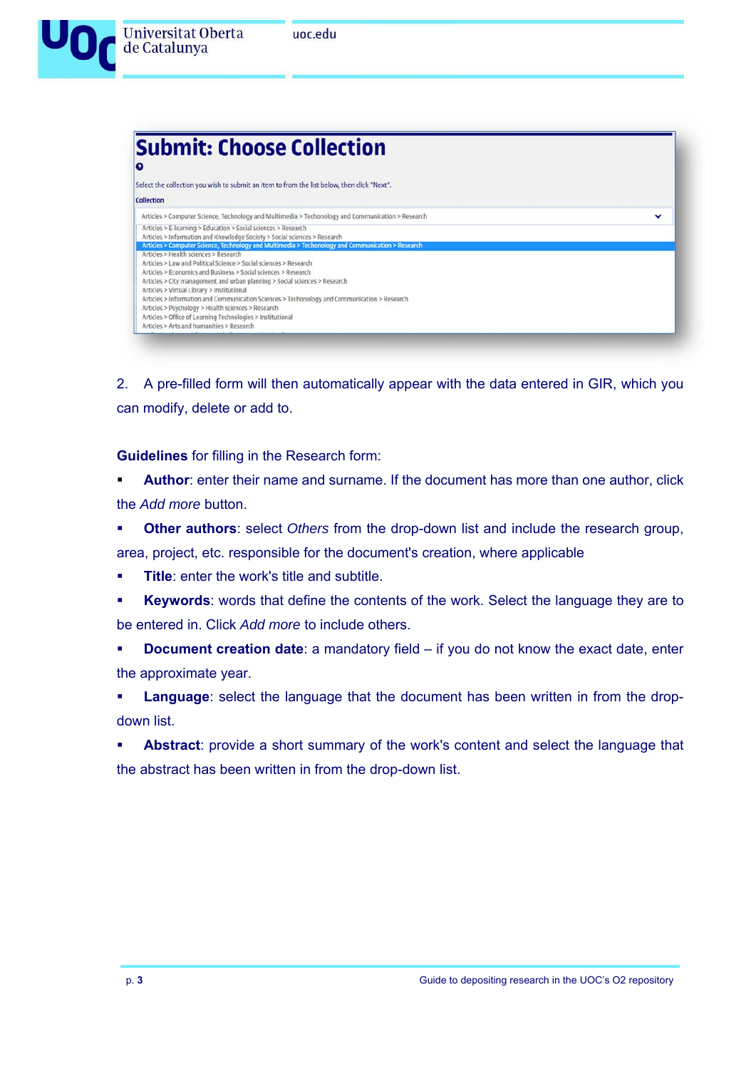

2. A pre-filled form will then automatically appear with the data entered in GIR, which you can modify, delete or add to.

**Guidelines** for filling in the Research form:

 **Author**: enter their name and surname. If the document has more than one author, click the *Add more* button.

**Other authors**: select *Others* from the drop-down list and include the research group,

area, project, etc. responsible for the document's creation, where applicable

- **Title**: enter the work's title and subtitle.
- **Keywords**: words that define the contents of the work. Select the language they are to be entered in. Click *Add more* to include others.

**Document creation date:** a mandatory field – if you do not know the exact date, enter the approximate year.

 **Language**: select the language that the document has been written in from the dropdown list.

 **Abstract**: provide a short summary of the work's content and select the language that the abstract has been written in from the drop-down list.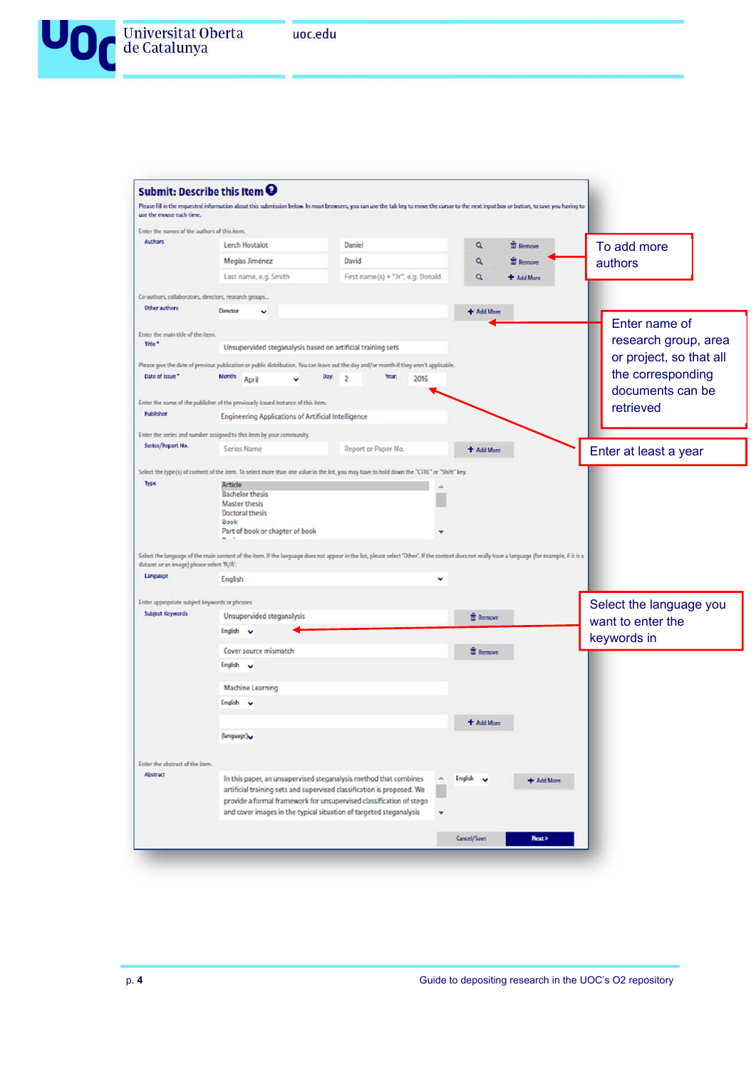

|                                                                |                                                                                 | Please fill in the requested information about this submission below. In most browsers, you can use the tab key to move the cursor to the next input box or button, to save you having to        |                 |                 |                         |
|----------------------------------------------------------------|---------------------------------------------------------------------------------|--------------------------------------------------------------------------------------------------------------------------------------------------------------------------------------------------|-----------------|-----------------|-------------------------|
| use the mouse each time.                                       |                                                                                 |                                                                                                                                                                                                  |                 |                 |                         |
| Enter the names of the authors of this item.<br><b>Authors</b> |                                                                                 |                                                                                                                                                                                                  |                 |                 |                         |
|                                                                | Lerch Hostalot                                                                  | Daniel                                                                                                                                                                                           | Q               | <b>E</b> Remove | To add more             |
|                                                                | Megias Jiménez                                                                  | David                                                                                                                                                                                            | Q               | <b>E</b> Remove | authors                 |
|                                                                | Last name, e.g. Smith                                                           | First name(s) + "Jr", e.g. Donald.                                                                                                                                                               | Q               | + Add More      |                         |
| Co-authors, collaborators, directors, research groups          |                                                                                 |                                                                                                                                                                                                  |                 |                 |                         |
| Other authors                                                  | Director                                                                        |                                                                                                                                                                                                  | + Add More      |                 |                         |
| Enter the main title of the item.                              |                                                                                 |                                                                                                                                                                                                  |                 |                 | Enter name of           |
| Title <sup>*</sup>                                             | Unsupervided steganalysis based on artificial training sets                     |                                                                                                                                                                                                  |                 |                 | research group, area    |
|                                                                |                                                                                 | Please give the date of previous publication or public distribution. You can leave out the day and/or month if they aren't applicable.                                                           |                 |                 | or project, so that all |
| Date of Issue *                                                | Month: April                                                                    | Day: $2$<br>Year:<br>2016                                                                                                                                                                        |                 |                 | the corresponding       |
|                                                                |                                                                                 |                                                                                                                                                                                                  |                 |                 | documents can be        |
| Publisher                                                      | Enter the name of the publisher of the previously issued instance of this item. |                                                                                                                                                                                                  |                 |                 | retrieved               |
|                                                                | Engineering Applications of Artificial Intelligence                             |                                                                                                                                                                                                  |                 |                 |                         |
|                                                                | Enter the series and number assigned to this item by your community.            |                                                                                                                                                                                                  |                 |                 |                         |
| Series/Report No.                                              | Series Name                                                                     | Report or Paper No.                                                                                                                                                                              | + Add More      |                 | Enter at least a year   |
|                                                                |                                                                                 | Select the type(s) of content of the item. To select more than one value in the list, you may have to hold down the "CTRL" or "Shift" key.                                                       |                 |                 |                         |
| Type                                                           | Article                                                                         |                                                                                                                                                                                                  |                 |                 |                         |
|                                                                | <b>Bachelor thesis</b>                                                          |                                                                                                                                                                                                  |                 |                 |                         |
|                                                                | <b>Master thesis</b>                                                            |                                                                                                                                                                                                  |                 |                 |                         |
|                                                                | Doctoral thesis<br>Book                                                         |                                                                                                                                                                                                  |                 |                 |                         |
|                                                                |                                                                                 |                                                                                                                                                                                                  |                 |                 |                         |
|                                                                |                                                                                 |                                                                                                                                                                                                  |                 |                 |                         |
|                                                                | Part of book or chapter of book                                                 |                                                                                                                                                                                                  |                 |                 |                         |
| dataset or an image) please select 'N/A'.                      |                                                                                 | Select the language of the main content of the item. If the language does not appear in the list, please select 'Other'. If the content does not really have a language (for example, if it is a |                 |                 |                         |
| Language                                                       |                                                                                 |                                                                                                                                                                                                  |                 |                 |                         |
|                                                                | English                                                                         |                                                                                                                                                                                                  |                 |                 |                         |
| Enter appropriate subject keywords or phrases.                 |                                                                                 |                                                                                                                                                                                                  |                 |                 | Select the language you |
| Subject Keywords                                               | Unsupervided steganalysis                                                       |                                                                                                                                                                                                  | <b>E</b> Remove |                 | want to enter the       |
|                                                                | English v                                                                       |                                                                                                                                                                                                  |                 |                 |                         |
|                                                                | Cover source mismatch                                                           |                                                                                                                                                                                                  | <b>E</b> Remove |                 | keywords in             |
|                                                                | English v                                                                       |                                                                                                                                                                                                  |                 |                 |                         |
|                                                                |                                                                                 |                                                                                                                                                                                                  |                 |                 |                         |
|                                                                | <b>Machine Learning</b><br>English v                                            |                                                                                                                                                                                                  |                 |                 |                         |
|                                                                |                                                                                 |                                                                                                                                                                                                  |                 |                 |                         |
|                                                                |                                                                                 |                                                                                                                                                                                                  | + Add More      |                 |                         |
|                                                                | (language)                                                                      |                                                                                                                                                                                                  |                 |                 |                         |
| Enter the abstract of the item.                                |                                                                                 |                                                                                                                                                                                                  |                 |                 |                         |
| Abstract                                                       |                                                                                 | A                                                                                                                                                                                                |                 |                 |                         |
|                                                                |                                                                                 | In this paper, an unsupervised steganalysis method that combines                                                                                                                                 | English         | + Add More      |                         |
|                                                                |                                                                                 | artificial training sets and supervised classification is proposed. We                                                                                                                           |                 |                 |                         |
|                                                                |                                                                                 | provide a formal framework for unsupervised classification of stego<br>and cover images in the typical situation of targeted steganalysis<br>٠                                                   |                 |                 |                         |
|                                                                |                                                                                 |                                                                                                                                                                                                  |                 |                 |                         |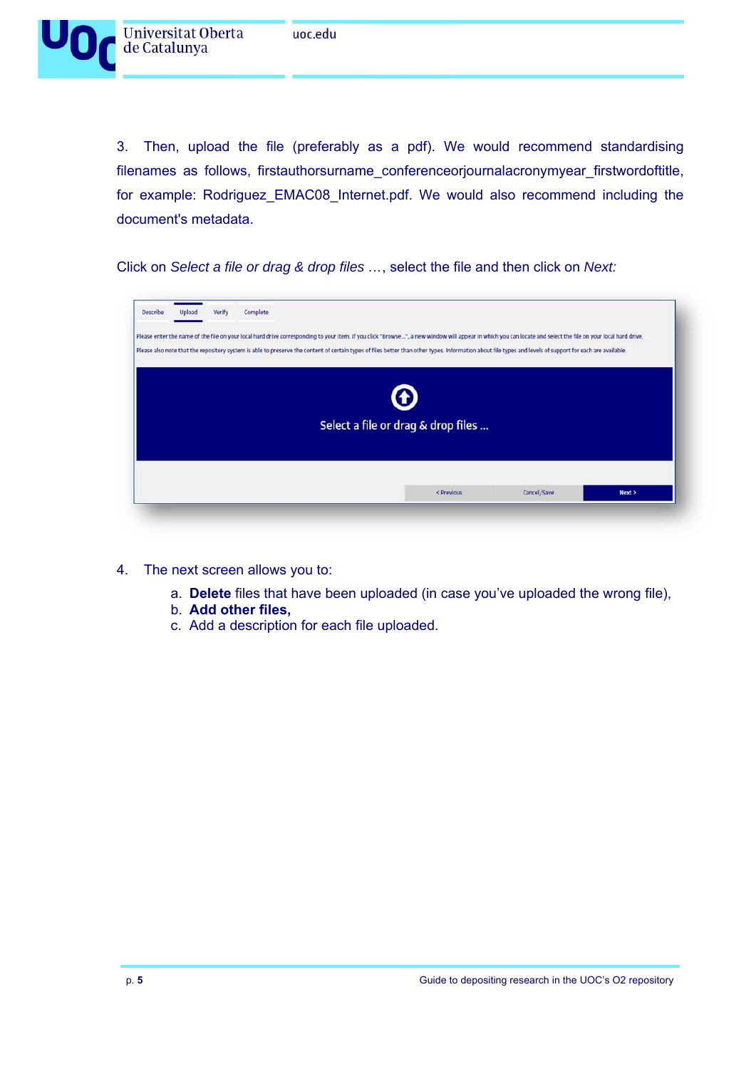

3. Then, upload the file (preferably as a pdf). We would recommend standardising filenames as follows, firstauthorsurname\_conferenceorjournalacronymyear\_firstwordoftitle, for example: Rodriguez\_EMAC08\_Internet.pdf. We would also recommend including the document's metadata.

Click on *Select a file or drag & drop files …*, select the file and then click on *Next:* 

| Verify<br>Upload | Complete | Please enter the name of the file on your local hard drive corresponding to your item. If you click "Browse ", a new window will appear in which you can locate and select the file on your local hard drive. |  |
|------------------|----------|---------------------------------------------------------------------------------------------------------------------------------------------------------------------------------------------------------------|--|
|                  |          | Please also note that the repository system is able to preserve the content of certain types of files better than other types. Information about file types and levels of support for each are available.     |  |
|                  |          | $\boldsymbol{\Theta}$<br>Select a file or drag & drop files                                                                                                                                                   |  |
|                  |          |                                                                                                                                                                                                               |  |

- 4. The next screen allows you to:
	- a. **Delete** files that have been uploaded (in case you've uploaded the wrong file),
	- b. **Add other files,**
	- c. Add a description for each file uploaded.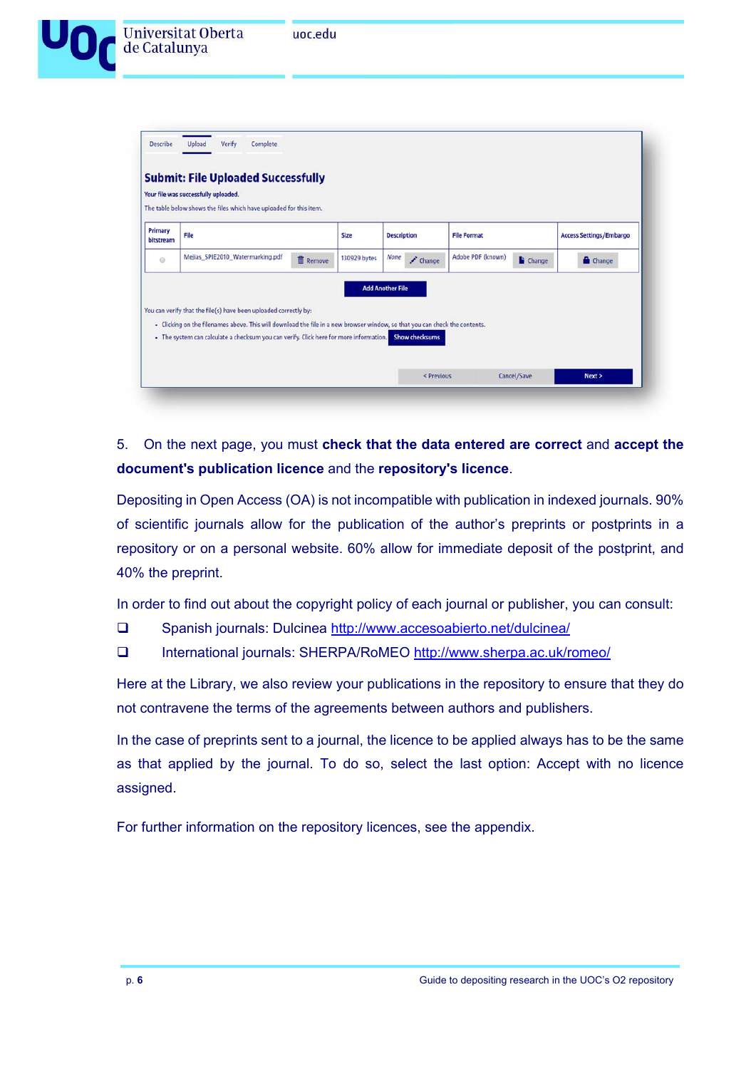

|                      | Your file was successfully uploaded.<br>The table below shows the files which have uploaded for this item.                                                                                      |                 |              |                                                  |                    |               |                                |
|----------------------|-------------------------------------------------------------------------------------------------------------------------------------------------------------------------------------------------|-----------------|--------------|--------------------------------------------------|--------------------|---------------|--------------------------------|
| Primary<br>bitstream | File                                                                                                                                                                                            |                 | Size         | <b>Description</b>                               | <b>File Format</b> |               | <b>Access Settings/Embargo</b> |
| 0                    | Mejias SPIE2010 Watermarking.pdf                                                                                                                                                                | <b>雷</b> Remove | 130929 bytes | None<br>$\angle$ Change                          | Adobe PDF (known)  | <b>Change</b> | Change                         |
|                      | You can verify that the file(s) have been uploaded correctly by:<br>- Clicking on the filenames above. This will download the file in a new browser window, so that you can check the contents. |                 |              | <b>Add Another File</b><br><b>Show checksums</b> |                    |               |                                |
|                      | - The system can calculate a checksum you can verify. Click here for more information.                                                                                                          |                 |              |                                                  |                    |               |                                |

### 5. On the next page, you must **check that the data entered are correct** and **accept the document's publication licence** and the **repository's licence**.

Depositing in Open Access (OA) is not incompatible with publication in indexed journals. 90% of scientific journals allow for the publication of the author's preprints or postprints in a repository or on a personal website. 60% allow for immediate deposit of the postprint, and 40% the preprint.

In order to find out about the copyright policy of each journal or publisher, you can consult:

- Spanish journals: Dulcinea http://www.accesoabierto.net/dulcinea/
- International journals: SHERPA/RoMEO http://www.sherpa.ac.uk/romeo/

Here at the Library, we also review your publications in the repository to ensure that they do not contravene the terms of the agreements between authors and publishers.

In the case of preprints sent to a journal, the licence to be applied always has to be the same as that applied by the journal. To do so, select the last option: Accept with no licence assigned.

For further information on the repository licences, see the appendix.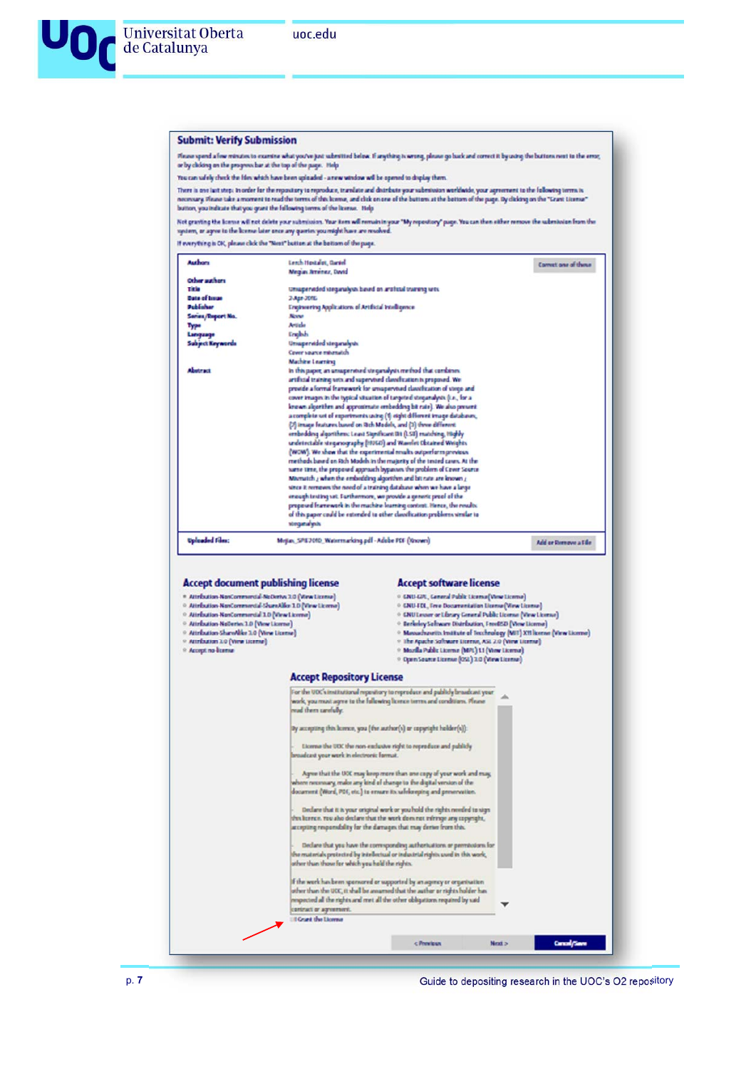#### **Submit: Verify Submission**

Fluou speed a lew minutes to examine what you've just submitted below. If anything is wrong, please go back and correct it by using the buttom next to the error, or by cholong on the progress bar at the error,

You can safely check the film which have been uploaded - a new window will be opened to display them

There is not lust step: in order for the repository in reproduce, translate and distribute your submission worldwide, your agreement to the following terms is<br>necessary. Please take a moment to read the terms of the licens

Not graving the lowne will not delete your submission. Your item will remain in your "My repeatory" page. You can then either remove the submission from the<br>system, or agree to the lowne later once any queries you might ha

If everything is CK, please click the "Next" button at the bettom of the page.

| Authors                                            | Leach Hostalot, Clared                                                      | Connect one of these |
|----------------------------------------------------|-----------------------------------------------------------------------------|----------------------|
|                                                    | Megus Amenez, David                                                         |                      |
| Other authors                                      |                                                                             |                      |
| Tiele                                              | Unsupervided stegurally in based on artifictal training sets                |                      |
| <b>Date of Issue</b>                               | 3-Apr-2016                                                                  |                      |
| Publisher                                          | <b>Engineering Applications of Artificial Intelligence</b>                  |                      |
| Senes/Export No.                                   | <b>NOV</b>                                                                  |                      |
| Type                                               | Article                                                                     |                      |
| <b><i><u><i><u><u>Language</u></u></i></u></i></b> | <b>Ericht</b>                                                               |                      |
| <b>Subject Keywords</b>                            | <b>Unsupervided stequralysis</b>                                            |                      |
|                                                    | Cover vaures returnately                                                    |                      |
|                                                    | Machine Learning                                                            |                      |
| <b>Abuterad</b>                                    | In this paper, an unsupervised steparalysis method that combines.           |                      |
|                                                    | artificial training wits and supervised classification is proposed. We      |                      |
|                                                    | provide a formal framework for unsapervised classification of steps and     |                      |
|                                                    | cover images in the typical situation of targeted stepanalysis (i.e., for a |                      |
|                                                    | known algorithm and approximate embedding bit rate). We also present        |                      |
|                                                    | a complete set of experiments using (1) eight different image databases,    |                      |
|                                                    | (2) image features based on Rich Models, and (3) three different            |                      |
|                                                    | embedding algorithmic Least Significant Dit (LSD) matching, Highly          |                      |
|                                                    | undetectable steganography (19360) and Wavelet Obtained Weights             |                      |
|                                                    |                                                                             |                      |
|                                                    | (WOW). We show that the experimental results outperform provisus            |                      |
|                                                    | methods based on Rich Models in the majority of the tested cases. At the    |                      |
|                                                    | same time, the proposed approach bypasses the problem of Cover Source       |                      |
|                                                    | Mismatch $\chi$ when the embedding algorithm and bit rate are known $\chi$  |                      |
|                                                    | since it recrieves the need of a training database when we have a large     |                      |
|                                                    | enough texting set. Furthermore, we provide a generic proof of the          |                      |
|                                                    | proposed framework in the machine learning context. Hence, the results      |                      |
|                                                    | of this paper could be extended to other classification problems similar to |                      |
|                                                    | stegaralysis                                                                |                      |
|                                                    | Mojias, SP83010, Watermarking.pdf - Adobe PDF (Nnown)                       | Add or Remove a File |
| <b>Uploaded Film:</b>                              |                                                                             |                      |

\* Attribution-NonCommercial-NeDertys 3.0 (View License) · GNU-GN, General Public License (View License) \* GNU-GPL, General Palais: University (West University)<br>
→ GNU-FEL, Free Documentation Universe (View Universe)<br>
→ GNU-FEL, Free Documentation Universe (View Universe)<br>
→ Bandeley Schware Distribution (TreeBSD (View Univ → Armouran Nancommunical ShareAlford D. (View License)<br>→ Armouran Nancommunical ShareAlford D. (View License)<br>→ Armouran Nancommunical 1.0 (View License) © Attribution Nationis: 1.0 (View License)<br>◎ Attribution ShareAlike 3.0 (View License) ○ Attribution 2.0 (View License)<br>○ Accept no license · Open Source License (OSL) 3.0 (Wew License) **Accept Repository License** For the UOC's institutional repeatury to reproduce and publish broadcast year and such, you must agree to the following licence terms and conditions. Please real them carefully. By accepting this learner, you [the author(s) or copyright holder(s)): toma the UOC the non-exclusive right to reproduce and publicly uadcast your work in electronic farmu . Agent that the UCC may keep more than one capy of your work and may, where necessary, make any kind of change to the digital version of the discerner (Word, PDF, etc.) to ensure its safekeeping and preservation. . Declare that it is your original work or you hold the rights needed to sign this known. You also declare that the work does not inferroge any copyright, accepting responsibility for the damages that may derive from this . Declare that you have the corresponding authorizations or permissions for the materials protected by intellectual or industrial rights used in this work, other than those for which you hold the rights. If the work has been sporsured or supported by an agency or organisation other than the UCC, it shall be ansumed that the author or rights holder has respected all the rights and met all the other obligations required by ٠ ricut or agreement. If Grant the Licens  $\overline{\mathbf{r}}$ < Previous **Next s** Consiglator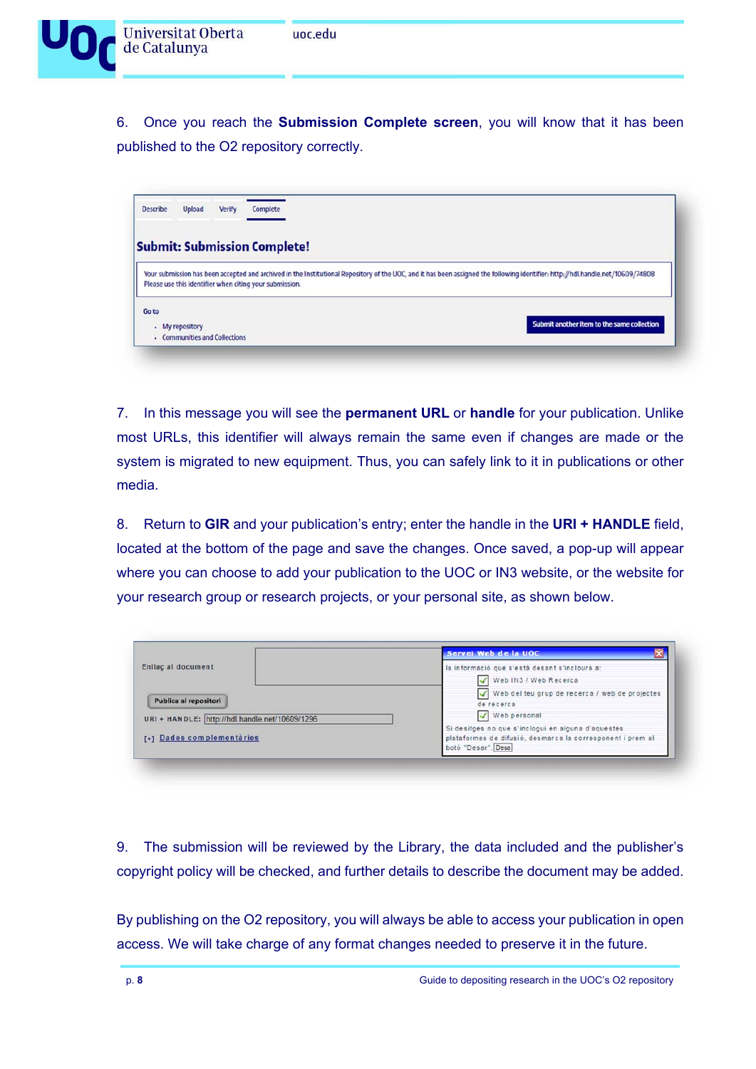

6. Once you reach the **Submission Complete screen**, you will know that it has been published to the O2 repository correctly.

| Describe | <b>Upload</b>   | Verify                        | Complete                                                |  |                                                                                                                                                                                 |
|----------|-----------------|-------------------------------|---------------------------------------------------------|--|---------------------------------------------------------------------------------------------------------------------------------------------------------------------------------|
|          |                 |                               | <b>Submit: Submission Complete!</b>                     |  |                                                                                                                                                                                 |
|          |                 |                               | Please use this identifier when citing your submission. |  | Your submission has been accepted and archived in the Institutional Repository of the UOC, and it has been assigned the following identifier: http://hdl.handle.net/10609/74808 |
| Go to    | - My repository |                               |                                                         |  | Submit another item to the same collection                                                                                                                                      |
|          |                 | - Communities and Collections |                                                         |  |                                                                                                                                                                                 |

7. In this message you will see the **permanent URL** or **handle** for your publication. Unlike most URLs, this identifier will always remain the same even if changes are made or the system is migrated to new equipment. Thus, you can safely link to it in publications or other media.

8. Return to **GIR** and your publication's entry; enter the handle in the **URI + HANDLE** field, located at the bottom of the page and save the changes. Once saved, a pop-up will appear where you can choose to add your publication to the UOC or IN3 website, or the website for your research group or research projects, or your personal site, as shown below.

|                                                | Servei Web de la UOC                                                             |
|------------------------------------------------|----------------------------------------------------------------------------------|
| Enllaç al document                             | la informació que s'està desant s'inclourà a:                                    |
|                                                | Web IN3 / Web Recerca                                                            |
|                                                | Web del teu grup de recerca / web de projectes                                   |
| Publica al repositori                          | de recerca                                                                       |
| URI + HANDLE: http://hdl.handle.net/10609/1296 | Veb personal                                                                     |
|                                                | Si desitges no que s'inclogui en alguna d'aquestes                               |
| [+] Dades complementaries                      | plataformes de difusió, desmarca la corresponent i prem al<br>botó "Desar". Desa |

9. The submission will be reviewed by the Library, the data included and the publisher's copyright policy will be checked, and further details to describe the document may be added.

By publishing on the O2 repository, you will always be able to access your publication in open access. We will take charge of any format changes needed to preserve it in the future.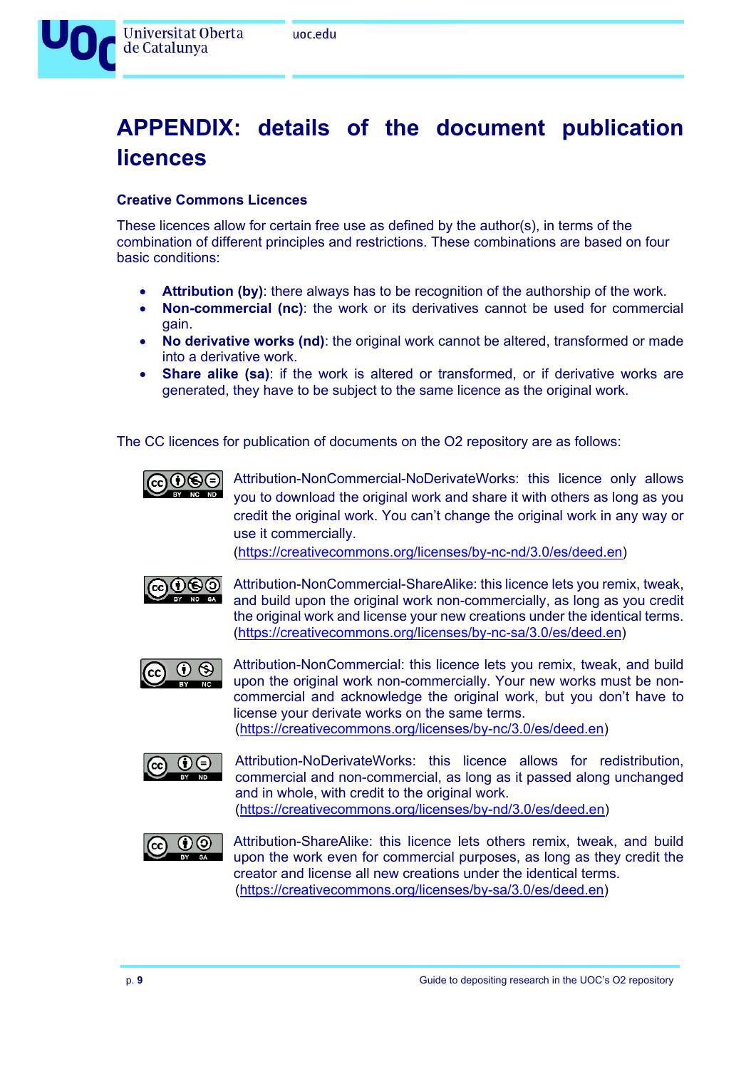

## **APPENDIX: details of the document publication licences**

#### **Creative Commons Licences**

These licences allow for certain free use as defined by the author(s), in terms of the combination of different principles and restrictions. These combinations are based on four basic conditions:

- **Attribution (by)**: there always has to be recognition of the authorship of the work.
- **Non-commercial (nc)**: the work or its derivatives cannot be used for commercial gain.
- **No derivative works (nd)**: the original work cannot be altered, transformed or made into a derivative work.
- **Share alike (sa)**: if the work is altered or transformed, or if derivative works are generated, they have to be subject to the same licence as the original work.

The CC licences for publication of documents on the O2 repository are as follows:



 $\bigcirc$   $\bigcirc$   $\bigcirc$  Attribution-NonCommercial-NoDerivateWorks: this licence only allows you to download the original work and share it with others as long as you credit the original work. You can't change the original work in any way or use it commercially.

(https://creativecommons.org/licenses/by-nc-nd/3.0/es/deed.en)



 $\odot$   $\odot$   $\odot$  Attribution-NonCommercial-ShareAlike: this licence lets you remix, tweak, and build upon the original work non-commercially, as long as you credit the original work and license your new creations under the identical terms. (https://creativecommons.org/licenses/by-nc-sa/3.0/es/deed.en)



Attribution-NonCommercial: this licence lets you remix, tweak, and build upon the original work non-commercially. Your new works must be noncommercial and acknowledge the original work, but you don't have to license your derivate works on the same terms. (https://creativecommons.org/licenses/by-nc/3.0/es/deed.en)



 Attribution-NoDerivateWorks: this licence allows for redistribution, commercial and non-commercial, as long as it passed along unchanged and in whole, with credit to the original work. (https://creativecommons.org/licenses/by-nd/3.0/es/deed.en)



 Attribution-ShareAlike: this licence lets others remix, tweak, and build upon the work even for commercial purposes, as long as they credit the creator and license all new creations under the identical terms. (https://creativecommons.org/licenses/by-sa/3.0/es/deed.en)